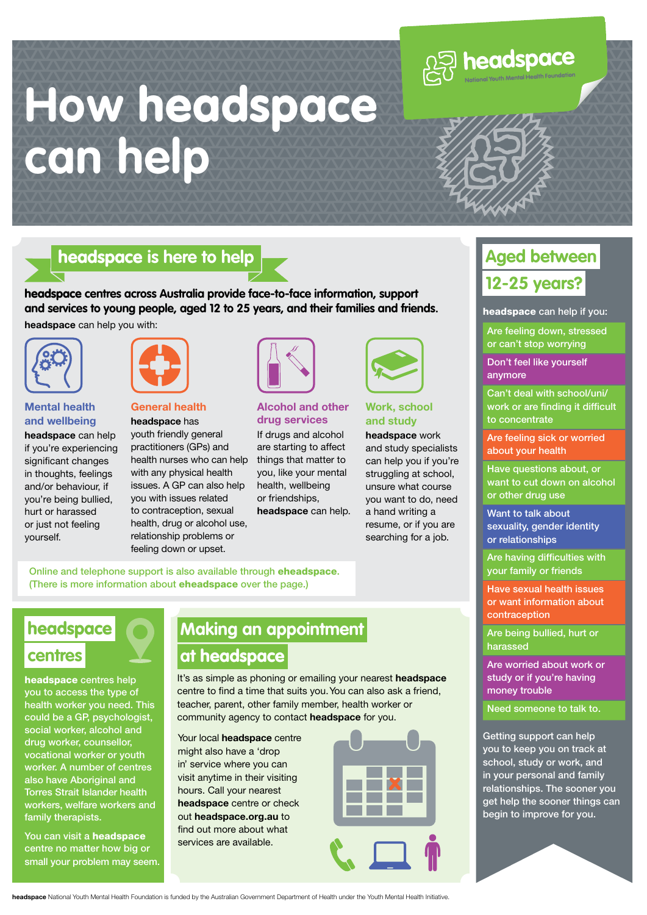# **How** headspace **can help**

#### headspace **is here to help**

headspace **centres across Australia provide face-to-face information, support and services to young people, aged 12 to 25 years, and their families and friends.**

**headspace** can help you with:



#### **Mental health and wellbeing**

**headspace** can help if you're experiencing significant changes in thoughts, feelings and/or behaviour, if you're being bullied, hurt or harassed or just not feeling yourself.



#### **General health headspace** has

youth friendly general practitioners (GPs) and health nurses who can help with any physical health issues. A GP can also help you with issues related to contraception, sexual health, drug or alcohol use, relationship problems or feeling down or upset.



#### **Alcohol and other drug services**

If drugs and alcohol are starting to affect things that matter to you, like your mental health, wellbeing or friendships, **headspace** can help.



#### **Work, school and study**

**headspace** work and study specialists can help you if you're struggling at school, unsure what course you want to do, need a hand writing a resume, or if you are searching for a job.

Online and telephone support is also available through eheadspace. (There is more information about eheadspace over the page.)

## headspace **centres**

headspace centres help you to access the type of health worker you need. This could be a GP, psychologist, social worker, alcohol and drug worker, counsellor, vocational worker or youth worker. A number of centres also have Aboriginal and Torres Strait Islander health workers, welfare workers and family therapists.

You can visit a **headspace** centre no matter how big or small your problem may seem.

## **Making an appointment at** headspace

It's as simple as phoning or emailing your nearest **headspace** centre to find a time that suits you. You can also ask a friend, teacher, parent, other family member, health worker or community agency to contact **headspace** for you.

Your local **headspace** centre might also have a 'drop in' service where you can visit anytime in their visiting hours. Call your nearest **headspace** centre or check out **headspace.org.au** to find out more about what services are available.



### headspace can help if you: Are feeling down, stressed or can't stop worrying

Don't feel like yourself anymore

**Aged between** 

**12-25 years?**

**DECOSPACE** 

Can't deal with school/uni/ work or are finding it difficult to concentrate

Are feeling sick or worried about your health

Have questions about, or want to cut down on alcohol or other drug use

Want to talk about sexuality, gender identity or relationships

Are having difficulties with your family or friends

Have sexual health issues or want information about contraception

Are being bullied, hurt or harassed

Are worried about work or study or if you're having money trouble

Need someone to talk to.

Getting support can help you to keep you on track at school, study or work, and in your personal and family relationships. The sooner you get help the sooner things can begin to improve for you.



**headspace** National Youth Mental Health Foundation is funded by the Australian Government Department of Health under the Youth Mental Health Initiative.